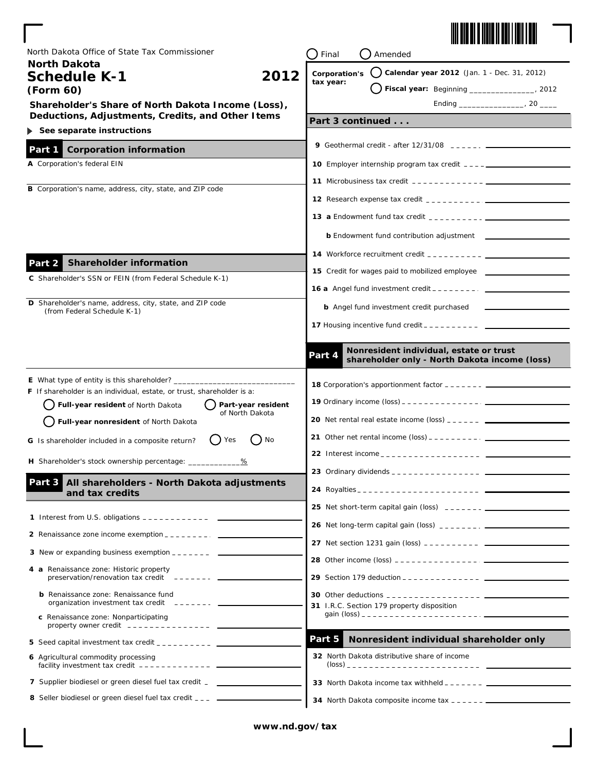

| North Dakota Office of State Tax Commissioner<br><b>North Dakota</b>                                               | Final<br>Amended                                                                                                                                                                                                                                                                                                |
|--------------------------------------------------------------------------------------------------------------------|-----------------------------------------------------------------------------------------------------------------------------------------------------------------------------------------------------------------------------------------------------------------------------------------------------------------|
| 2012<br><b>Schedule K-1</b>                                                                                        | () Calendar year 2012 (Jan. 1 - Dec. 31, 2012)<br>Corporation's<br>tax year:                                                                                                                                                                                                                                    |
| (Form 60)                                                                                                          | Fiscal year: Beginning _______________, 2012                                                                                                                                                                                                                                                                    |
| Shareholder's Share of North Dakota Income (Loss),                                                                 | Ending 20                                                                                                                                                                                                                                                                                                       |
| Deductions, Adjustments, Credits, and Other Items<br>See separate instructions                                     | Part 3 continued                                                                                                                                                                                                                                                                                                |
|                                                                                                                    | 9 Geothermal credit - after $12/31/08$ $- - - -  -  -$                                                                                                                                                                                                                                                          |
| <b>Corporation information</b><br>Part 1                                                                           |                                                                                                                                                                                                                                                                                                                 |
| A Corporation's federal EIN                                                                                        |                                                                                                                                                                                                                                                                                                                 |
| <b>B</b> Corporation's name, address, city, state, and ZIP code                                                    |                                                                                                                                                                                                                                                                                                                 |
|                                                                                                                    |                                                                                                                                                                                                                                                                                                                 |
|                                                                                                                    | <b>13 a</b> Endowment fund tax credit $\frac{1}{2}$ $\frac{1}{2}$ $\frac{1}{2}$ $\frac{1}{2}$ $\frac{1}{2}$ $\frac{1}{2}$ $\frac{1}{2}$ $\frac{1}{2}$ $\frac{1}{2}$ $\frac{1}{2}$ $\frac{1}{2}$ $\frac{1}{2}$ $\frac{1}{2}$ $\frac{1}{2}$ $\frac{1}{2}$ $\frac{1}{2}$ $\frac{1}{2}$ $\frac{1}{2}$ $\frac{1}{2}$ |
|                                                                                                                    | <b>b</b> Endowment fund contribution adjustment _____________                                                                                                                                                                                                                                                   |
|                                                                                                                    | <b>14</b> Workforce recruitment credit $\frac{1}{2}$ $\frac{1}{2}$ $\frac{1}{2}$ $\frac{1}{2}$ $\frac{1}{2}$ $\frac{1}{2}$                                                                                                                                                                                      |
| <b>Shareholder information</b><br>Part 2                                                                           | 15 Credit for wages paid to mobilized employee                                                                                                                                                                                                                                                                  |
| C Shareholder's SSN or FEIN (from Federal Schedule K-1)                                                            | <b>16 a</b> Angel fund investment credit $\frac{1}{2}$ $\frac{1}{2}$ $\frac{1}{2}$ $\frac{1}{2}$ $\frac{1}{2}$ $\frac{1}{2}$ $\frac{1}{2}$ $\frac{1}{2}$ $\frac{1}{2}$ $\frac{1}{2}$ $\frac{1}{2}$ $\frac{1}{2}$ $\frac{1}{2}$ $\frac{1}{2}$ $\frac{1}{2}$ $\frac{1}{2}$ $\frac{1}{2}$ $\frac{1}{2}$ $\frac{1$  |
| D Shareholder's name, address, city, state, and ZIP code                                                           | <b>b</b> Angel fund investment credit purchased                                                                                                                                                                                                                                                                 |
| (from Federal Schedule K-1)                                                                                        |                                                                                                                                                                                                                                                                                                                 |
|                                                                                                                    |                                                                                                                                                                                                                                                                                                                 |
|                                                                                                                    | Nonresident individual, estate or trust<br>Part 4<br>shareholder only - North Dakota income (loss)                                                                                                                                                                                                              |
| E What type of entity is this shareholder? __                                                                      |                                                                                                                                                                                                                                                                                                                 |
| <b>F</b> If shareholder is an individual, estate, or trust, shareholder is a:                                      |                                                                                                                                                                                                                                                                                                                 |
| Full-year resident of North Dakota<br>Part-year resident<br>of North Dakota                                        |                                                                                                                                                                                                                                                                                                                 |
| Full-year nonresident of North Dakota                                                                              | <b>20</b> Net rental real estate income (loss) $\frac{1}{2}$ $\frac{1}{2}$ $\frac{1}{2}$ $\frac{1}{2}$ $\frac{1}{2}$ $\frac{1}{2}$                                                                                                                                                                              |
| $\Box$ No<br>() Yes<br>G Is shareholder included in a composite return?                                            | 21 Other net rental income $(\text{loss})$                                                                                                                                                                                                                                                                      |
| H Shareholder's stock ownership percentage: __________                                                             | 22 Interest income _ _ _ _ _ _ _ _ _ _ _ _ _ _ _ _ _ _                                                                                                                                                                                                                                                          |
| All shareholders - North Dakota adjustments<br>Part 3                                                              | 23 Ordinary dividends _ _ _ _ _ _ _ _ _ _ _ _ _ _ _ _                                                                                                                                                                                                                                                           |
| and tax credits                                                                                                    |                                                                                                                                                                                                                                                                                                                 |
|                                                                                                                    | <b>25</b> Net short-term capital gain (loss) $- - - - - - - - -$                                                                                                                                                                                                                                                |
|                                                                                                                    |                                                                                                                                                                                                                                                                                                                 |
| 2 Renaissance zone income exemption _ _ _ _ _ _ _ _ _                                                              |                                                                                                                                                                                                                                                                                                                 |
| 3 New or expanding business exemption $---$                                                                        |                                                                                                                                                                                                                                                                                                                 |
| 4 a Renaissance zone: Historic property<br>preservation/renovation tax credit $--- -$                              |                                                                                                                                                                                                                                                                                                                 |
| <b>b</b> Renaissance zone: Renaissance fund                                                                        |                                                                                                                                                                                                                                                                                                                 |
| organization investment tax credit ------- ____                                                                    | 31 I.R.C. Section 179 property disposition                                                                                                                                                                                                                                                                      |
| c Renaissance zone: Nonparticipating<br>property owner credit $-$ --------------                                   |                                                                                                                                                                                                                                                                                                                 |
| 5 Seed capital investment tax credit $\frac{1}{2}$ = $\frac{1}{2}$ = $\frac{1}{2}$ = $\frac{1}{2}$ = $\frac{1}{2}$ | Nonresident individual shareholder only<br>Part 5                                                                                                                                                                                                                                                               |
| 6 Agricultural commodity processing<br>facility investment tax credit $---------------$                            | 32 North Dakota distributive share of income                                                                                                                                                                                                                                                                    |
| 7 Supplier biodiesel or green diesel fuel tax credit _ _ __________                                                |                                                                                                                                                                                                                                                                                                                 |
| 8 Seller biodiesel or green diesel fuel tax credit ___ _____                                                       |                                                                                                                                                                                                                                                                                                                 |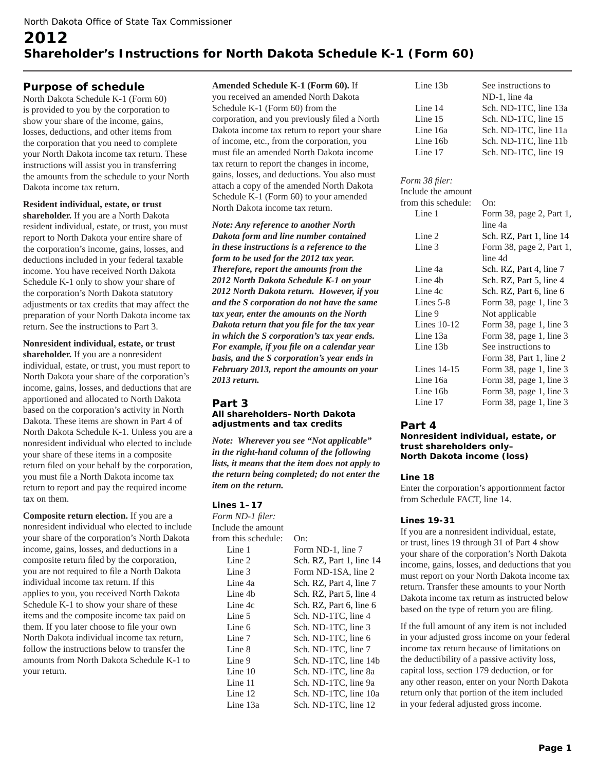# **2012 Shareholder's Instructions for North Dakota Schedule K-1 (Form 60)**

# **Purpose of schedule**

North Dakota Schedule K-1 (Form 60) is provided to you by the corporation to show your share of the income, gains, losses, deductions, and other items from the corporation that you need to complete your North Dakota income tax return. These instructions will assist you in transferring the amounts from the schedule to your North Dakota income tax return.

#### **Resident individual, estate, or trust**

**shareholder.** If you are a North Dakota resident individual, estate, or trust, you must report to North Dakota your entire share of the corporation's income, gains, losses, and deductions included in your federal taxable income. You have received North Dakota Schedule K-1 only to show your share of the corporation's North Dakota statutory adjustments or tax credits that may affect the preparation of your North Dakota income tax return. See the instructions to Part 3.

**Nonresident individual, estate, or trust shareholder.** If you are a nonresident individual, estate, or trust, you must report to North Dakota your share of the corporation's income, gains, losses, and deductions that are apportioned and allocated to North Dakota based on the corporation's activity in North Dakota. These items are shown in Part 4 of North Dakota Schedule K-1. Unless you are a nonresident individual who elected to include your share of these items in a composite return filed on your behalf by the corporation, you must file a North Dakota income tax return to report and pay the required income tax on them.

**Composite return election.** If you are a nonresident individual who elected to include your share of the corporation's North Dakota income, gains, losses, and deductions in a composite return filed by the corporation, you are not required to file a North Dakota individual income tax return. If this applies to you, you received North Dakota Schedule K-1 to show your share of these items and the composite income tax paid on them. If you later choose to file your own North Dakota individual income tax return, follow the instructions below to transfer the amounts from North Dakota Schedule K-1 to your return.

**Amended Schedule K-1 (Form 60).** If you received an amended North Dakota Schedule K-1 (Form 60) from the corporation, and you previously filed a North Dakota income tax return to report your share of income, etc., from the corporation, you must file an amended North Dakota income tax return to report the changes in income, gains, losses, and deductions. You also must attach a copy of the amended North Dakota Schedule K-1 (Form 60) to your amended North Dakota income tax return.

*Note: Any reference to another North Dakota form and line number contained in these instructions is a reference to the form to be used for the 2012 tax year. Therefore, report the amounts from the 2012 North Dakota Schedule K-1 on your 2012 North Dakota return. However, if you and the S corporation do not have the same tax year, enter the amounts on the North Dakota return that you file for the tax year in which the S corporation's tax year ends. For example, if you file on a calendar year basis, and the S corporation's year ends in February 2013, report the amounts on your 2013 return.*

#### **Part 3 All shareholders–North Dakota adjustments and tax credits**

*Note: Wherever you see "Not applicable" in the right-hand column of the following lists, it means that the item does not apply to the return being completed; do not enter the item on the return.*

#### **Lines 1–17**

*Form ND-1 filer:* Include the amount from this schedule: On:

| Line 1    | Form ND-1, line 7        |
|-----------|--------------------------|
| Line 2    | Sch. RZ, Part 1, line 14 |
| Line 3    | Form ND-1SA, line 2      |
| Line 4a   | Sch. RZ, Part 4, line 7  |
| Line 4b   | Sch. RZ, Part 5, line 4  |
| Line 4c   | Sch. RZ, Part 6, line 6  |
| Line 5    | Sch. ND-1TC, line 4      |
| Line 6    | Sch. ND-1TC, line 3      |
| Line 7    | Sch. ND-1TC, line 6      |
| Line 8    | Sch. ND-1TC, line 7      |
| Line 9    | Sch. ND-1TC, line 14b    |
| Line $10$ | Sch. ND-1TC, line 8a     |
| Line 11   | Sch. ND-1TC, line 9a     |
| Line 12   | Sch. ND-1TC, line 10a    |
| Line 13a  | Sch. ND-1TC, line 12     |
|           |                          |

| Line $13b$ | See instructions to   |
|------------|-----------------------|
|            | ND-1, line 4a         |
| Line $14$  | Sch. ND-1TC, line 13a |
| Line $15$  | Sch. ND-1TC, line 15  |
| Line 16a   | Sch. ND-1TC, line 11a |
| Line 16b   | Sch. ND-1TC, line 11b |
| Line 17    | Sch. ND-1TC, line 19  |

## *Form 38 filer:* Include the amount from this schedule: On: Line 1 Form 38, page 2, Part 1, line 4a Line 2 Sch. RZ, Part 1, line 14 Line 3 Form 38, page 2, Part 1, line 4d Line 4a Sch. RZ, Part 4, line 7 Line 4b Sch. RZ, Part 5, line 4 Line 4c Sch. RZ, Part 6, line 6 Lines 5-8 Form 38, page 1, line 3 Line 9 Not applicable Lines 10-12 Form 38, page 1, line 3 Line 13a Form 38, page 1, line 3 Line 13b See instructions to Form 38, Part 1, line 2 Lines 14-15 Form 38, page 1, line 3 Line 16a Form 38, page 1, line 3 Line 16b Form 38, page 1, line 3 Line 17 Form 38, page 1, line 3

# **Part 4**

#### **Nonresident individual, estate, or trust shareholders only– North Dakota income (loss)**

## **Line 18**

Enter the corporation's apportionment factor from Schedule FACT, line 14.

## **Lines 19-31**

If you are a nonresident individual, estate, or trust, lines 19 through 31 of Part 4 show your share of the corporation's North Dakota income, gains, losses, and deductions that you must report on your North Dakota income tax return. Transfer these amounts to your North Dakota income tax return as instructed below based on the type of return you are filing.

If the full amount of any item is not included in your adjusted gross income on your federal income tax return because of limitations on the deductibility of a passive activity loss, capital loss, section 179 deduction, or for any other reason, enter on your North Dakota return only that portion of the item included in your federal adjusted gross income.